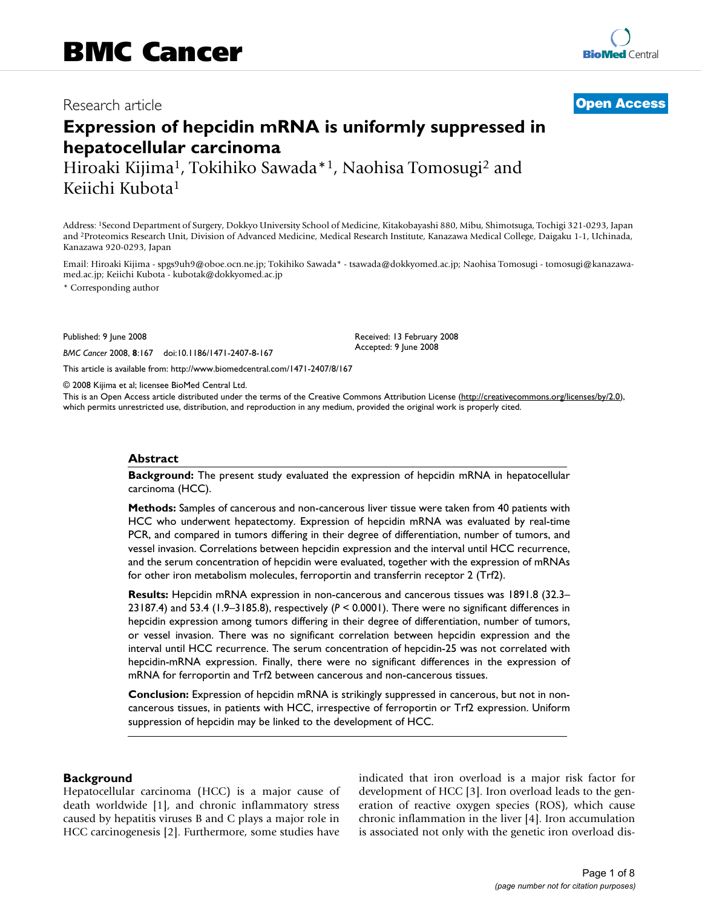# Research article **[Open Access](http://www.biomedcentral.com/info/about/charter/)**

# **Expression of hepcidin mRNA is uniformly suppressed in hepatocellular carcinoma** Hiroaki Kijima1, Tokihiko Sawada\*1, Naohisa Tomosugi2 and

Keiichi Kubota1

Address: 1Second Department of Surgery, Dokkyo University School of Medicine, Kitakobayashi 880, Mibu, Shimotsuga, Tochigi 321-0293, Japan and 2Proteomics Research Unit, Division of Advanced Medicine, Medical Research Institute, Kanazawa Medical College, Daigaku 1-1, Uchinada, Kanazawa 920-0293, Japan

Email: Hiroaki Kijima - spgs9uh9@oboe.ocn.ne.jp; Tokihiko Sawada\* - tsawada@dokkyomed.ac.jp; Naohisa Tomosugi - tomosugi@kanazawamed.ac.jp; Keiichi Kubota - kubotak@dokkyomed.ac.jp

> Received: 13 February 2008 Accepted: 9 June 2008

\* Corresponding author

Published: 9 June 2008

*BMC Cancer* 2008, **8**:167 doi:10.1186/1471-2407-8-167

[This article is available from: http://www.biomedcentral.com/1471-2407/8/167](http://www.biomedcentral.com/1471-2407/8/167)

© 2008 Kijima et al; licensee BioMed Central Ltd.

This is an Open Access article distributed under the terms of the Creative Commons Attribution License [\(http://creativecommons.org/licenses/by/2.0\)](http://creativecommons.org/licenses/by/2.0), which permits unrestricted use, distribution, and reproduction in any medium, provided the original work is properly cited.

#### **Abstract**

**Background:** The present study evaluated the expression of hepcidin mRNA in hepatocellular carcinoma (HCC).

**Methods:** Samples of cancerous and non-cancerous liver tissue were taken from 40 patients with HCC who underwent hepatectomy. Expression of hepcidin mRNA was evaluated by real-time PCR, and compared in tumors differing in their degree of differentiation, number of tumors, and vessel invasion. Correlations between hepcidin expression and the interval until HCC recurrence, and the serum concentration of hepcidin were evaluated, together with the expression of mRNAs for other iron metabolism molecules, ferroportin and transferrin receptor 2 (Trf2).

**Results:** Hepcidin mRNA expression in non-cancerous and cancerous tissues was 1891.8 (32.3– 23187.4) and 53.4 (1.9–3185.8), respectively (*P* < 0.0001). There were no significant differences in hepcidin expression among tumors differing in their degree of differentiation, number of tumors, or vessel invasion. There was no significant correlation between hepcidin expression and the interval until HCC recurrence. The serum concentration of hepcidin-25 was not correlated with hepcidin-mRNA expression. Finally, there were no significant differences in the expression of mRNA for ferroportin and Trf2 between cancerous and non-cancerous tissues.

**Conclusion:** Expression of hepcidin mRNA is strikingly suppressed in cancerous, but not in noncancerous tissues, in patients with HCC, irrespective of ferroportin or Trf2 expression. Uniform suppression of hepcidin may be linked to the development of HCC.

#### **Background**

Hepatocellular carcinoma (HCC) is a major cause of death worldwide [1], and chronic inflammatory stress caused by hepatitis viruses B and C plays a major role in HCC carcinogenesis [2]. Furthermore, some studies have indicated that iron overload is a major risk factor for development of HCC [3]. Iron overload leads to the generation of reactive oxygen species (ROS), which cause chronic inflammation in the liver [4]. Iron accumulation is associated not only with the genetic iron overload dis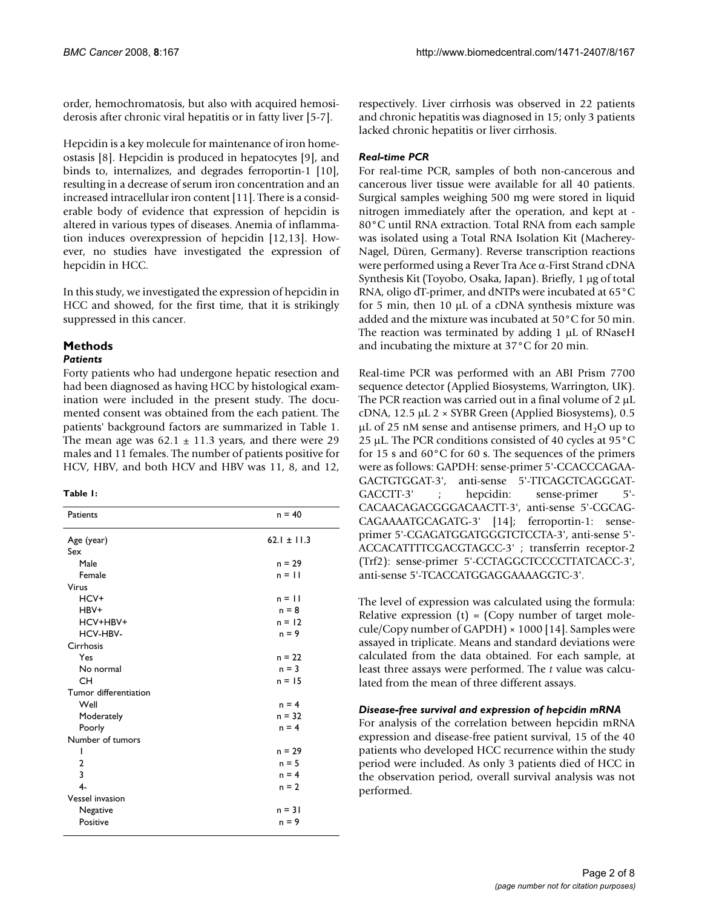order, hemochromatosis, but also with acquired hemosiderosis after chronic viral hepatitis or in fatty liver [5-7].

Hepcidin is a key molecule for maintenance of iron homeostasis [8]. Hepcidin is produced in hepatocytes [9], and binds to, internalizes, and degrades ferroportin-1 [10], resulting in a decrease of serum iron concentration and an increased intracellular iron content [11]. There is a considerable body of evidence that expression of hepcidin is altered in various types of diseases. Anemia of inflammation induces overexpression of hepcidin [12,13]. However, no studies have investigated the expression of hepcidin in HCC.

In this study, we investigated the expression of hepcidin in HCC and showed, for the first time, that it is strikingly suppressed in this cancer.

## **Methods**

#### *Patients*

Forty patients who had undergone hepatic resection and had been diagnosed as having HCC by histological examination were included in the present study. The documented consent was obtained from the each patient. The patients' background factors are summarized in Table 1. The mean age was  $62.1 \pm 11.3$  years, and there were 29 males and 11 females. The number of patients positive for HCV, HBV, and both HCV and HBV was 11, 8, and 12,

#### **Table 1:**

| Patients               | $n = 40$        |
|------------------------|-----------------|
| Age (year)             | $62.1 \pm 11.3$ |
| Sex                    |                 |
| Male                   | $n = 29$        |
| Female                 | $n = 11$        |
| Virus                  |                 |
| HCV+                   | $n = 11$        |
| HBV+                   | $n = 8$         |
| HCV+HBV+               | $n = 12$        |
| HCV-HBV-               | $n = 9$         |
| Cirrhosis              |                 |
| Yes                    | $n = 22$        |
| No normal              | $n = 3$         |
| <b>CH</b>              | $n = 15$        |
| Tumor differentiation  |                 |
| Well                   | $n = 4$         |
| Moderately             | $n = 32$        |
| Poorly                 | $n = 4$         |
| Number of tumors       |                 |
| ı                      | $n = 29$        |
| 2                      | $n = 5$         |
| 3                      | $n = 4$         |
| $4-$                   | $n = 2$         |
| <b>Vessel invasion</b> |                 |
| Negative               | $n = 31$        |
| Positive               | $n = 9$         |
|                        |                 |

respectively. Liver cirrhosis was observed in 22 patients and chronic hepatitis was diagnosed in 15; only 3 patients lacked chronic hepatitis or liver cirrhosis.

### *Real-time PCR*

For real-time PCR, samples of both non-cancerous and cancerous liver tissue were available for all 40 patients. Surgical samples weighing 500 mg were stored in liquid nitrogen immediately after the operation, and kept at - 80°C until RNA extraction. Total RNA from each sample was isolated using a Total RNA Isolation Kit (Macherey-Nagel, Düren, Germany). Reverse transcription reactions were performed using a Rever Tra Ace α-First Strand cDNA Synthesis Kit (Toyobo, Osaka, Japan). Briefly, 1 μg of total RNA, oligo dT-primer, and dNTPs were incubated at 65°C for 5 min, then 10 μL of a cDNA synthesis mixture was added and the mixture was incubated at 50°C for 50 min. The reaction was terminated by adding 1 μL of RNaseH and incubating the mixture at 37°C for 20 min.

Real-time PCR was performed with an ABI Prism 7700 sequence detector (Applied Biosystems, Warrington, UK). The PCR reaction was carried out in a final volume of 2 μL cDNA, 12.5 μL 2 × SYBR Green (Applied Biosystems), 0.5 μL of 25 nM sense and antisense primers, and  $H<sub>2</sub>O$  up to 25 μL. The PCR conditions consisted of 40 cycles at 95°C for 15 s and 60°C for 60 s. The sequences of the primers were as follows: GAPDH: sense-primer 5'-CCACCCAGAA-GACTGTGGAT-3', anti-sense 5'-TTCAGCTCAGGGAT-GACCTT-3' ; hepcidin: sense-primer 5'- CACAACAGACGGGACAACTT-3', anti-sense 5'-CGCAG-CAGAAAATGCAGATG-3' [14]; ferroportin-1: senseprimer 5'-CGAGATGGATGGGTCTCCTA-3', anti-sense 5'- ACCACATTTTCGACGTAGCC-3' ; transferrin receptor-2 (Trf2): sense-primer 5'-CCTAGGCTCCCCTTATCACC-3', anti-sense 5'-TCACCATGGAGGAAAAGGTC-3'.

The level of expression was calculated using the formula: Relative expression  $(t)$  = (Copy number of target molecule/Copy number of GAPDH) × 1000 [14]. Samples were assayed in triplicate. Means and standard deviations were calculated from the data obtained. For each sample, at least three assays were performed. The *t* value was calculated from the mean of three different assays.

#### *Disease-free survival and expression of hepcidin mRNA*

For analysis of the correlation between hepcidin mRNA expression and disease-free patient survival, 15 of the 40 patients who developed HCC recurrence within the study period were included. As only 3 patients died of HCC in the observation period, overall survival analysis was not performed.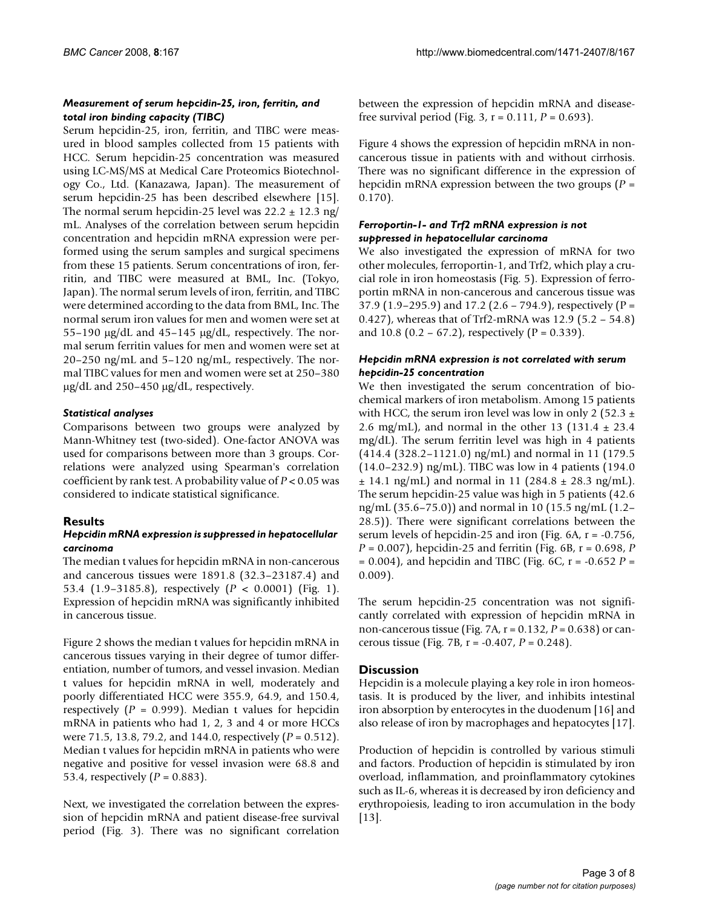#### *Measurement of serum hepcidin-25, iron, ferritin, and total iron binding capacity (TIBC)*

Serum hepcidin-25, iron, ferritin, and TIBC were measured in blood samples collected from 15 patients with HCC. Serum hepcidin-25 concentration was measured using LC-MS/MS at Medical Care Proteomics Biotechnology Co., Ltd. (Kanazawa, Japan). The measurement of serum hepcidin-25 has been described elsewhere [15]. The normal serum hepcidin-25 level was  $22.2 \pm 12.3$  ng/ mL. Analyses of the correlation between serum hepcidin concentration and hepcidin mRNA expression were performed using the serum samples and surgical specimens from these 15 patients. Serum concentrations of iron, ferritin, and TIBC were measured at BML, Inc. (Tokyo, Japan). The normal serum levels of iron, ferritin, and TIBC were determined according to the data from BML, Inc. The normal serum iron values for men and women were set at 55–190 μg/dL and 45–145 μg/dL, respectively. The normal serum ferritin values for men and women were set at 20–250 ng/mL and 5–120 ng/mL, respectively. The normal TIBC values for men and women were set at 250–380  $\mu$ g/dL and 250–450  $\mu$ g/dL, respectively.

#### *Statistical analyses*

Comparisons between two groups were analyzed by Mann-Whitney test (two-sided). One-factor ANOVA was used for comparisons between more than 3 groups. Correlations were analyzed using Spearman's correlation coefficient by rank test. A probability value of *P* < 0.05 was considered to indicate statistical significance.

#### **Results**

#### *Hepcidin mRNA expression is suppressed in hepatocellular carcinoma*

The median t values for hepcidin mRNA in non-cancerous and cancerous tissues were 1891.8 (32.3–23187.4) and 53.4 (1.9–3185.8), respectively (*P* < 0.0001) (Fig. 1). Expression of hepcidin mRNA was significantly inhibited in cancerous tissue.

Figure 2 shows the median t values for hepcidin mRNA in cancerous tissues varying in their degree of tumor differentiation, number of tumors, and vessel invasion. Median t values for hepcidin mRNA in well, moderately and poorly differentiated HCC were 355.9, 64.9, and 150.4, respectively  $(P = 0.999)$ . Median t values for hepcidin mRNA in patients who had 1, 2, 3 and 4 or more HCCs were 71.5, 13.8, 79.2, and 144.0, respectively (*P* = 0.512). Median t values for hepcidin mRNA in patients who were negative and positive for vessel invasion were 68.8 and 53.4, respectively (*P* = 0.883).

Next, we investigated the correlation between the expression of hepcidin mRNA and patient disease-free survival period (Fig. 3). There was no significant correlation

between the expression of hepcidin mRNA and diseasefree survival period (Fig. 3, r = 0.111, *P* = 0.693).

Figure 4 shows the expression of hepcidin mRNA in noncancerous tissue in patients with and without cirrhosis. There was no significant difference in the expression of hepcidin mRNA expression between the two groups (*P* = 0.170).

### *Ferroportin-1- and Trf2 mRNA expression is not suppressed in hepatocellular carcinoma*

We also investigated the expression of mRNA for two other molecules, ferroportin-1, and Trf2, which play a crucial role in iron homeostasis (Fig. 5). Expression of ferroportin mRNA in non-cancerous and cancerous tissue was 37.9 (1.9–295.9) and 17.2 (2.6 – 794.9), respectively (P = 0.427), whereas that of Trf2-mRNA was 12.9 (5.2 – 54.8) and 10.8 (0.2 – 67.2), respectively ( $P = 0.339$ ).

#### *Hepcidin mRNA expression is not correlated with serum hepcidin-25 concentration*

We then investigated the serum concentration of biochemical markers of iron metabolism. Among 15 patients with HCC, the serum iron level was low in only 2 (52.3  $\pm$ 2.6 mg/mL), and normal in the other 13 (131.4  $\pm$  23.4 mg/dL). The serum ferritin level was high in 4 patients (414.4 (328.2–1121.0) ng/mL) and normal in 11 (179.5 (14.0–232.9) ng/mL). TIBC was low in 4 patients (194.0  $\pm$  14.1 ng/mL) and normal in 11 (284.8  $\pm$  28.3 ng/mL). The serum hepcidin-25 value was high in 5 patients (42.6 ng/mL (35.6–75.0)) and normal in 10 (15.5 ng/mL (1.2– 28.5)). There were significant correlations between the serum levels of hepcidin-25 and iron (Fig.  $6A$ ,  $r = -0.756$ , *P* = 0.007), hepcidin-25 and ferritin (Fig. 6B, r = 0.698, *P* = 0.004), and hepcidin and TIBC (Fig. 6C, r = -0.652 *P* = 0.009).

The serum hepcidin-25 concentration was not significantly correlated with expression of hepcidin mRNA in non-cancerous tissue (Fig. 7A, r = 0.132, *P* = 0.638) or cancerous tissue (Fig. 7B, r = -0.407, *P* = 0.248).

#### **Discussion**

Hepcidin is a molecule playing a key role in iron homeostasis. It is produced by the liver, and inhibits intestinal iron absorption by enterocytes in the duodenum [16] and also release of iron by macrophages and hepatocytes [17].

Production of hepcidin is controlled by various stimuli and factors. Production of hepcidin is stimulated by iron overload, inflammation, and proinflammatory cytokines such as IL-6, whereas it is decreased by iron deficiency and erythropoiesis, leading to iron accumulation in the body [13].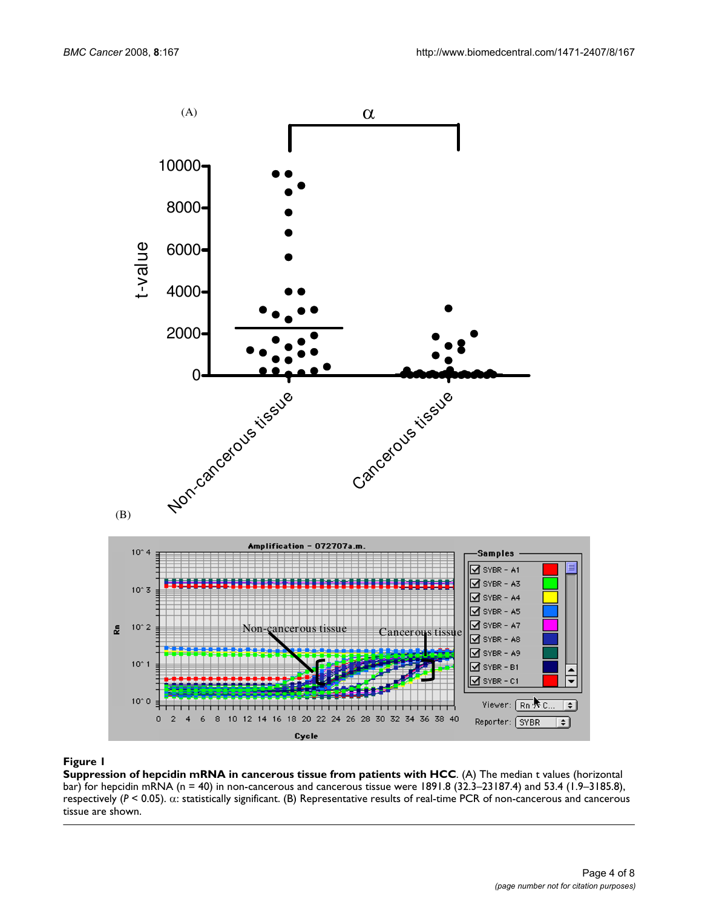

#### Figure 1

**Suppression of hepcidin mRNA in cancerous tissue from patients with HCC**. (A) The median t values (horizontal bar) for hepcidin mRNA (n = 40) in non-cancerous and cancerous tissue were 1891.8 (32.3–23187.4) and 53.4 (1.9–3185.8), respectively (*P* < 0.05). α: statistically significant. (B) Representative results of real-time PCR of non-cancerous and cancerous tissue are shown.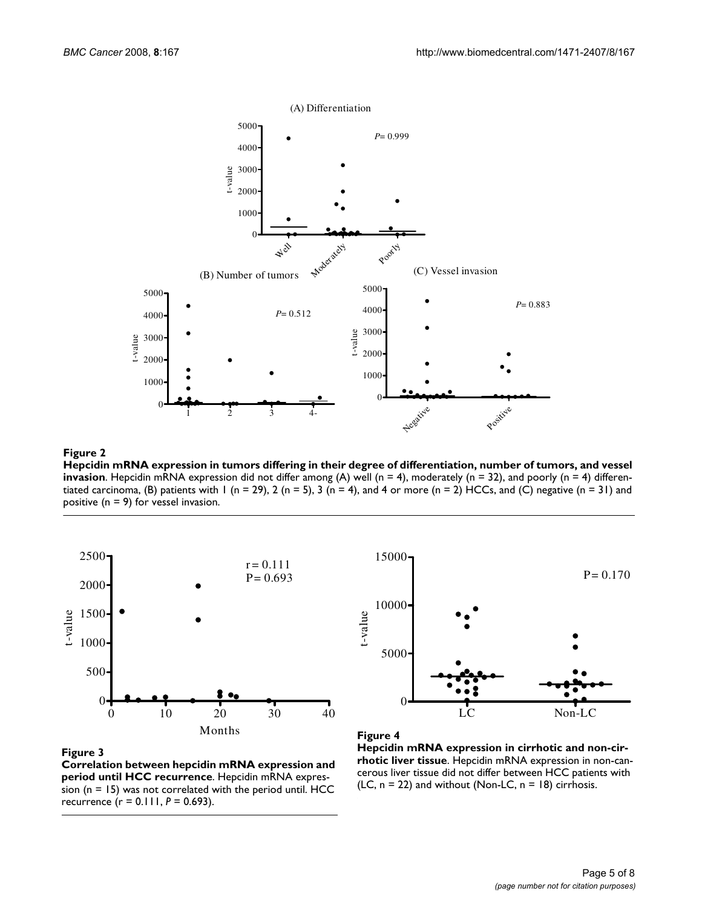

**Hepcidin mRNA expression in tumors differing in their degree of differentiation, number of tumors, and vessel invasion**. Hepcidin mRNA expression did not differ among (A) well (n = 4), moderately (n = 32), and poorly (n = 4) differentiated carcinoma, (B) patients with 1 (n = 29), 2 (n = 5), 3 (n = 4), and 4 or more (n = 2) HCCs, and (C) negative (n = 31) and positive (n = 9) for vessel invasion.



# LC Non-LC 0 5000 10000 t-value P= 0.170

#### Figure 3

**Correlation between hepcidin mRNA expression and period until HCC recurrence**. Hepcidin mRNA expression ( $n = 15$ ) was not correlated with the period until. HCC recurrence (r = 0.111, *P* = 0.693).



15000

**Hepcidin mRNA expression in cirrhotic and non-cirrhotic liver tissue**. Hepcidin mRNA expression in non-cancerous liver tissue did not differ between HCC patients with (LC,  $n = 22$ ) and without (Non-LC,  $n = 18$ ) cirrhosis.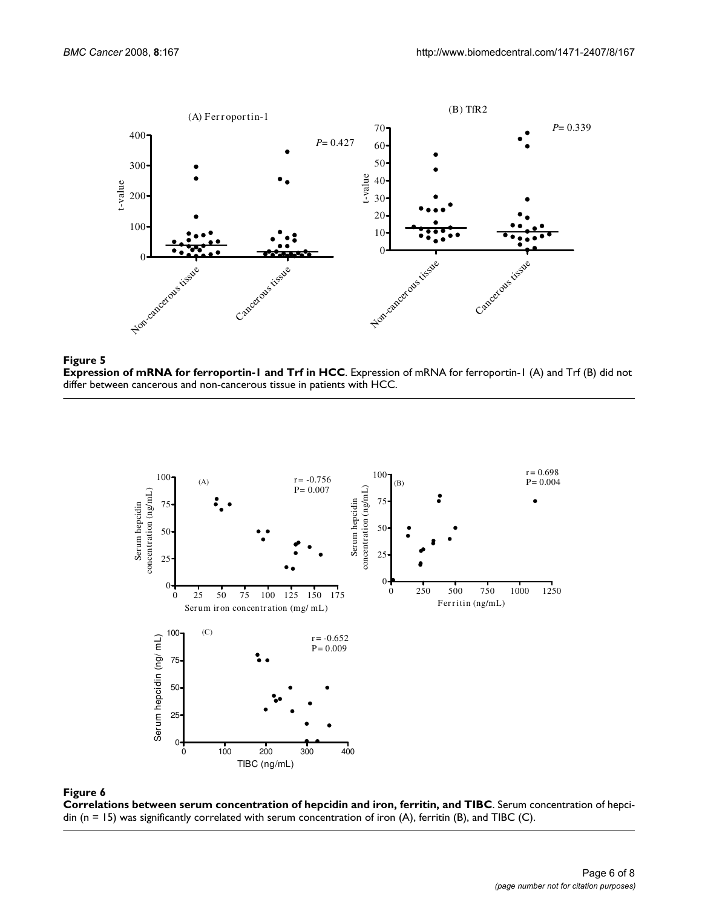

#### **Figure 5**

**Expression of mRNA for ferroportin-1 and Trf in HCC**. Expression of mRNA for ferroportin-1 (A) and Trf (B) did not differ between cancerous and non-cancerous tissue in patients with HCC.



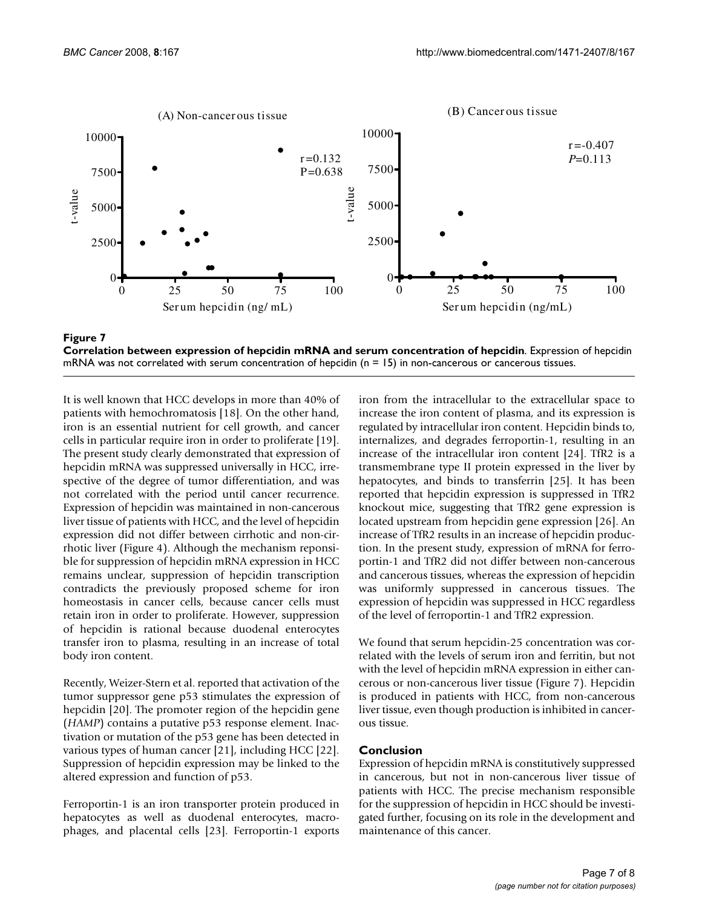



It is well known that HCC develops in more than 40% of patients with hemochromatosis [18]. On the other hand, iron is an essential nutrient for cell growth, and cancer cells in particular require iron in order to proliferate [19]. The present study clearly demonstrated that expression of hepcidin mRNA was suppressed universally in HCC, irrespective of the degree of tumor differentiation, and was not correlated with the period until cancer recurrence. Expression of hepcidin was maintained in non-cancerous liver tissue of patients with HCC, and the level of hepcidin expression did not differ between cirrhotic and non-cirrhotic liver (Figure 4). Although the mechanism reponsible for suppression of hepcidin mRNA expression in HCC remains unclear, suppression of hepcidin transcription contradicts the previously proposed scheme for iron homeostasis in cancer cells, because cancer cells must retain iron in order to proliferate. However, suppression of hepcidin is rational because duodenal enterocytes transfer iron to plasma, resulting in an increase of total body iron content.

Recently, Weizer-Stern et al. reported that activation of the tumor suppressor gene p53 stimulates the expression of hepcidin [20]. The promoter region of the hepcidin gene (*HAMP*) contains a putative p53 response element. Inactivation or mutation of the p53 gene has been detected in various types of human cancer [21], including HCC [22]. Suppression of hepcidin expression may be linked to the altered expression and function of p53.

Ferroportin-1 is an iron transporter protein produced in hepatocytes as well as duodenal enterocytes, macrophages, and placental cells [23]. Ferroportin-1 exports iron from the intracellular to the extracellular space to increase the iron content of plasma, and its expression is regulated by intracellular iron content. Hepcidin binds to, internalizes, and degrades ferroportin-1, resulting in an increase of the intracellular iron content [24]. TfR2 is a transmembrane type II protein expressed in the liver by hepatocytes, and binds to transferrin [25]. It has been reported that hepcidin expression is suppressed in TfR2 knockout mice, suggesting that TfR2 gene expression is located upstream from hepcidin gene expression [26]. An increase of TfR2 results in an increase of hepcidin production. In the present study, expression of mRNA for ferroportin-1 and TfR2 did not differ between non-cancerous and cancerous tissues, whereas the expression of hepcidin was uniformly suppressed in cancerous tissues. The expression of hepcidin was suppressed in HCC regardless of the level of ferroportin-1 and TfR2 expression.

We found that serum hepcidin-25 concentration was correlated with the levels of serum iron and ferritin, but not with the level of hepcidin mRNA expression in either cancerous or non-cancerous liver tissue (Figure 7). Hepcidin is produced in patients with HCC, from non-cancerous liver tissue, even though production is inhibited in cancerous tissue.

#### **Conclusion**

Expression of hepcidin mRNA is constitutively suppressed in cancerous, but not in non-cancerous liver tissue of patients with HCC. The precise mechanism responsible for the suppression of hepcidin in HCC should be investigated further, focusing on its role in the development and maintenance of this cancer.